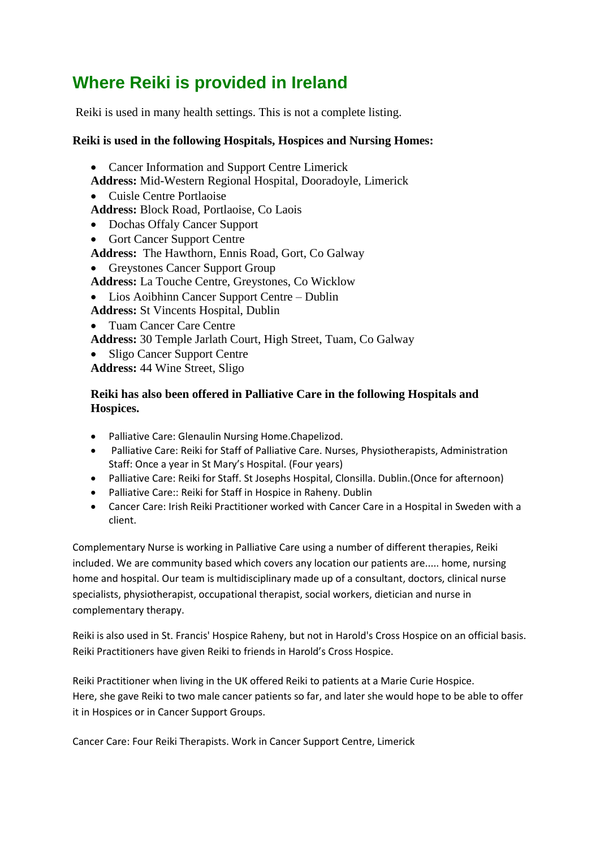## **Where Reiki is provided in Ireland**

Reiki is used in many health settings. This is not a complete listing.

## **Reiki is used in the following Hospitals, Hospices and Nursing Homes:**

• Cancer Information and Support Centre Limerick

**Address:** Mid-Western Regional Hospital, Dooradoyle, Limerick

- Cuisle Centre Portlaoise
- **Address:** Block Road, Portlaoise, Co Laois
- Dochas Offaly Cancer Support
- Gort Cancer Support Centre
- **Address:** The Hawthorn, Ennis Road, Gort, Co Galway
- Greystones Cancer Support Group
- **Address:** La Touche Centre, Greystones, Co Wicklow
- Lios Aoibhinn Cancer Support Centre Dublin
- **Address:** St Vincents Hospital, Dublin
- Tuam Cancer Care Centre

**Address:** 30 Temple Jarlath Court, High Street, Tuam, Co Galway

• Sligo Cancer Support Centre

**Address:** 44 Wine Street, Sligo

## **Reiki has also been offered in Palliative Care in the following Hospitals and Hospices.**

- Palliative Care: Glenaulin Nursing Home.Chapelizod.
- Palliative Care: Reiki for Staff of Palliative Care. Nurses, Physiotherapists, Administration Staff: Once a year in St Mary's Hospital. (Four years)
- Palliative Care: Reiki for Staff. St Josephs Hospital, Clonsilla. Dublin.(Once for afternoon)
- Palliative Care:: Reiki for Staff in Hospice in Raheny. Dublin
- Cancer Care: Irish Reiki Practitioner worked with Cancer Care in a Hospital in Sweden with a client.

Complementary Nurse is working in Palliative Care using a number of different therapies, Reiki included. We are community based which covers any location our patients are..... home, nursing home and hospital. Our team is multidisciplinary made up of a consultant, doctors, clinical nurse specialists, physiotherapist, occupational therapist, social workers, dietician and nurse in complementary therapy.

Reiki is also used in St. Francis' Hospice Raheny, but not in Harold's Cross Hospice on an official basis. Reiki Practitioners have given Reiki to friends in Harold's Cross Hospice.

Reiki Practitioner when living in the UK offered Reiki to patients at a Marie Curie Hospice. Here, she gave Reiki to two male cancer patients so far, and later she would hope to be able to offer it in Hospices or in Cancer Support Groups.

Cancer Care: Four Reiki Therapists. Work in Cancer Support Centre, Limerick